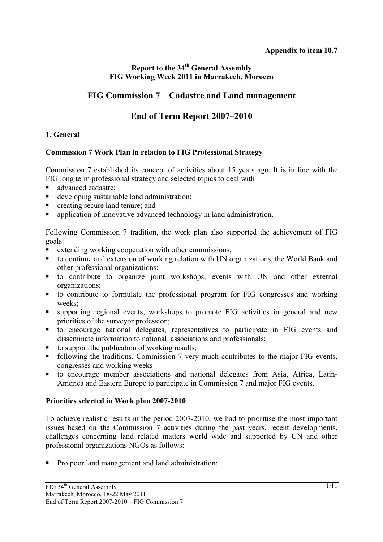# **Report to the 34<sup>th</sup> General Assembly FIG Working Week 2011 in Marrakech, Morocco**

# **FIG Commission 7 – Cadastre and Land management**

# **End of Term Report 2007–2010**

## **1. General**

## **Commission 7 Work Plan in relation to FIG Professional Strategy**

Commission 7 established its concept of activities about 15 years ago. It is in line with the FIG long term professional strategy and selected topics to deal with

- advanced cadastre;
- developing sustainable land administration;
- creating secure land tenure; and
- application of innovative advanced technology in land administration.

Following Commission 7 tradition, the work plan also supported the achievement of FIG goals:

- extending working cooperation with other commissions;
- to continue and extension of working relation with UN organizations, the World Bank and other professional organizations;
- to contribute to organize joint workshops, events with UN and other external organizations;
- to contribute to formulate the professional program for FIG congresses and working weeks;
- supporting regional events, workshops to promote FIG activities in general and new priorities of the surveyor profession;
- to encourage national delegates, representatives to participate in FIG events and disseminate information to national associations and professionals;
- $\blacksquare$  to support the publication of working results;
- following the traditions, Commission 7 very much contributes to the major FIG events, congresses and working weeks
- to encourage member associations and national delegates from Asia, Africa, Latin-America and Eastern Europe to participate in Commission 7 and major FIG events.

## **Priorities selected in Work plan 2007-2010**

To achieve realistic results in the period 2007-2010, we had to prioritise the most important issues based on the Commission 7 activities during the past years, recent developments, challenges concerning land related matters world wide and supported by UN and other professional organizations NGOs as follows:

• Pro poor land management and land administration: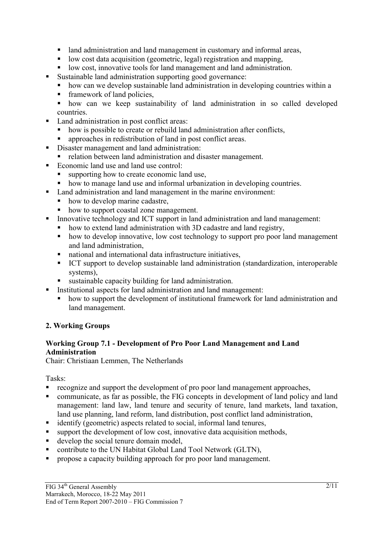- I and administration and land management in customary and informal areas,
- low cost data acquisition (geometric, legal) registration and mapping,
- I low cost, innovative tools for land management and land administration.
- Sustainable land administration supporting good governance:
- how can we develop sustainable land administration in developing countries within a
- $\blacksquare$  framework of land policies,
- how can we keep sustainability of land administration in so called developed countries.
- Land administration in post conflict areas:
	- how is possible to create or rebuild land administration after conflicts,
	- approaches in redistribution of land in post conflict areas.
- Disaster management and land administration:
	- relation between land administration and disaster management.
- Economic land use and land use control:
	- supporting how to create economic land use,
	- how to manage land use and informal urbanization in developing countries.
- Land administration and land management in the marine environment:
	- how to develop marine cadastre,
	- how to support coastal zone management.
- Innovative technology and ICT support in land administration and land management:
	- how to extend land administration with 3D cadastre and land registry,
	- how to develop innovative, low cost technology to support pro poor land management and land administration,
	- national and international data infrastructure initiatives,
	- ICT support to develop sustainable land administration (standardization, interoperable systems),
	- sustainable capacity building for land administration.
	- Institutional aspects for land administration and land management:
		- how to support the development of institutional framework for land administration and land management.

# **2. Working Groups**

## **Working Group 7.1 - Development of Pro Poor Land Management and Land Administration**

Chair: Christiaan Lemmen, The Netherlands

Tasks:

- **recognize and support the development of pro poor land management approaches,**
- communicate, as far as possible, the FIG concepts in development of land policy and land management: land law, land tenure and security of tenure, land markets, land taxation, land use planning, land reform, land distribution, post conflict land administration,
- identify (geometric) aspects related to social, informal land tenures,
- support the development of low cost, innovative data acquisition methods,
- develop the social tenure domain model,
- contribute to the UN Habitat Global Land Tool Network (GLTN),
- **PEDECISE** propose a capacity building approach for pro poor land management.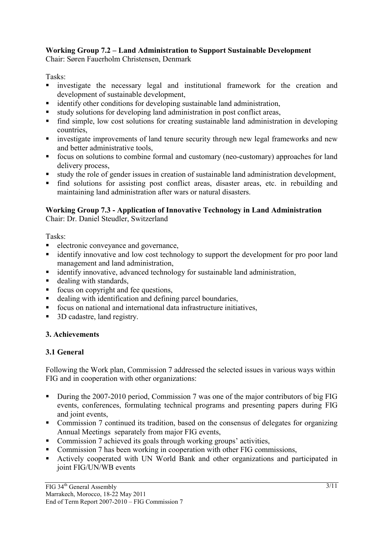# **Working Group 7.2 – Land Administration to Support Sustainable Development**

Chair: Søren Fauerholm Christensen, Denmark

Tasks:

- investigate the necessary legal and institutional framework for the creation and development of sustainable development,
- identify other conditions for developing sustainable land administration,
- study solutions for developing land administration in post conflict areas,
- find simple, low cost solutions for creating sustainable land administration in developing countries,
- investigate improvements of land tenure security through new legal frameworks and new and better administrative tools,
- focus on solutions to combine formal and customary (neo-customary) approaches for land delivery process,
- study the role of gender issues in creation of sustainable land administration development,
- find solutions for assisting post conflict areas, disaster areas, etc. in rebuilding and maintaining land administration after wars or natural disasters.

# **Working Group 7.3 - Application of Innovative Technology in Land Administration**

Chair: Dr. Daniel Steudler, Switzerland

Tasks:

- electronic conveyance and governance,
- **identify innovative and low cost technology to support the development for pro poor land** management and land administration,
- identify innovative, advanced technology for sustainable land administration,
- dealing with standards,
- $\blacksquare$  focus on copyright and fee questions,
- dealing with identification and defining parcel boundaries,
- focus on national and international data infrastructure initiatives,
- 3D cadastre, land registry.

# **3. Achievements**

# **3.1 General**

Following the Work plan, Commission 7 addressed the selected issues in various ways within FIG and in cooperation with other organizations:

- During the 2007-2010 period, Commission 7 was one of the major contributors of big FIG events, conferences, formulating technical programs and presenting papers during FIG and joint events
- Commission 7 continued its tradition, based on the consensus of delegates for organizing Annual Meetings separately from major FIG events,
- Commission 7 achieved its goals through working groups' activities,
- Commission 7 has been working in cooperation with other FIG commissions,
- Actively cooperated with UN World Bank and other organizations and participated in joint FIG/UN/WB events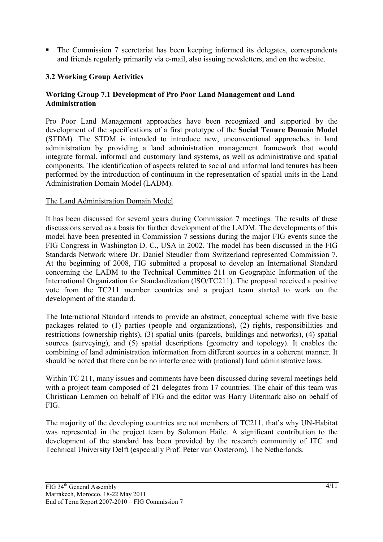• The Commission 7 secretariat has been keeping informed its delegates, correspondents and friends regularly primarily via e-mail, also issuing newsletters, and on the website.

## **3.2 Working Group Activities**

#### **Working Group 7.1 Development of Pro Poor Land Management and Land Administration**

Pro Poor Land Management approaches have been recognized and supported by the development of the specifications of a first prototype of the **Social Tenure Domain Model** (STDM). The STDM is intended to introduce new, unconventional approaches in land administration by providing a land administration management framework that would integrate formal, informal and customary land systems, as well as administrative and spatial components. The identification of aspects related to social and informal land tenures has been performed by the introduction of continuum in the representation of spatial units in the Land Administration Domain Model (LADM).

#### The Land Administration Domain Model

It has been discussed for several years during Commission 7 meetings. The results of these discussions served as a basis for further development of the LADM. The developments of this model have been presented in Commission 7 sessions during the major FIG events since the FIG Congress in Washington D. C., USA in 2002. The model has been discussed in the FIG Standards Network where Dr. Daniel Steudler from Switzerland represented Commission 7. At the beginning of 2008, FIG submitted a proposal to develop an International Standard concerning the LADM to the Technical Committee 211 on Geographic Information of the International Organization for Standardization (ISO/TC211). The proposal received a positive vote from the TC211 member countries and a project team started to work on the development of the standard.

The International Standard intends to provide an abstract, conceptual scheme with five basic packages related to (1) parties (people and organizations), (2) rights, responsibilities and restrictions (ownership rights), (3) spatial units (parcels, buildings and networks), (4) spatial sources (surveying), and (5) spatial descriptions (geometry and topology). It enables the combining of land administration information from different sources in a coherent manner. It should be noted that there can be no interference with (national) land administrative laws.

Within TC 211, many issues and comments have been discussed during several meetings held with a project team composed of 21 delegates from 17 countries. The chair of this team was Christiaan Lemmen on behalf of FIG and the editor was Harry Uitermark also on behalf of FIG.

The majority of the developing countries are not members of TC211, that's why UN-Habitat was represented in the project team by Solomon Haile. A significant contribution to the development of the standard has been provided by the research community of ITC and Technical University Delft (especially Prof. Peter van Oosterom), The Netherlands.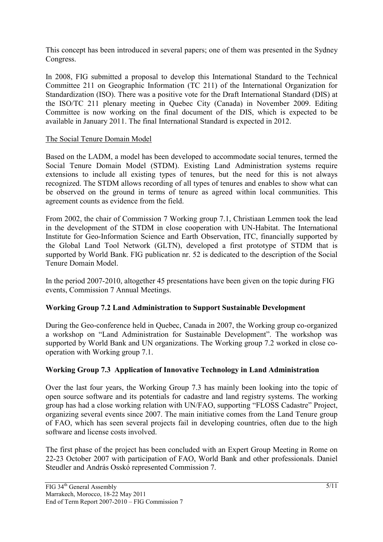This concept has been introduced in several papers; one of them was presented in the Sydney Congress.

In 2008, FIG submitted a proposal to develop this International Standard to the Technical Committee 211 on Geographic Information (TC 211) of the International Organization for Standardization (ISO). There was a positive vote for the Draft International Standard (DIS) at the ISO/TC 211 plenary meeting in Quebec City (Canada) in November 2009. Editing Committee is now working on the final document of the DIS, which is expected to be available in January 2011. The final International Standard is expected in 2012.

#### The Social Tenure Domain Model

Based on the LADM, a model has been developed to accommodate social tenures, termed the Social Tenure Domain Model (STDM). Existing Land Administration systems require extensions to include all existing types of tenures, but the need for this is not always recognized. The STDM allows recording of all types of tenures and enables to show what can be observed on the ground in terms of tenure as agreed within local communities. This agreement counts as evidence from the field.

From 2002, the chair of Commission 7 Working group 7.1, Christiaan Lemmen took the lead in the development of the STDM in close cooperation with UN-Habitat. The International Institute for Geo-Information Science and Earth Observation, ITC, financially supported by the Global Land Tool Network (GLTN), developed a first prototype of STDM that is supported by World Bank. FIG publication nr. 52 is dedicated to the description of the Social Tenure Domain Model.

In the period 2007-2010, altogether 45 presentations have been given on the topic during FIG events, Commission 7 Annual Meetings.

## **Working Group 7.2 Land Administration to Support Sustainable Development**

During the Geo-conference held in Quebec, Canada in 2007, the Working group co-organized a workshop on "Land Administration for Sustainable Development". The workshop was supported by World Bank and UN organizations. The Working group 7.2 worked in close cooperation with Working group 7.1.

## **Working Group 7.3 Application of Innovative Technology in Land Administration**

Over the last four years, the Working Group 7.3 has mainly been looking into the topic of open source software and its potentials for cadastre and land registry systems. The working group has had a close working relation with UN/FAO, supporting "FLOSS Cadastre" Project, organizing several events since 2007. The main initiative comes from the Land Tenure group of FAO, which has seen several projects fail in developing countries, often due to the high software and license costs involved.

The first phase of the project has been concluded with an Expert Group Meeting in Rome on 22-23 October 2007 with participation of FAO, World Bank and other professionals. Daniel Steudler and András Osskó represented Commission 7.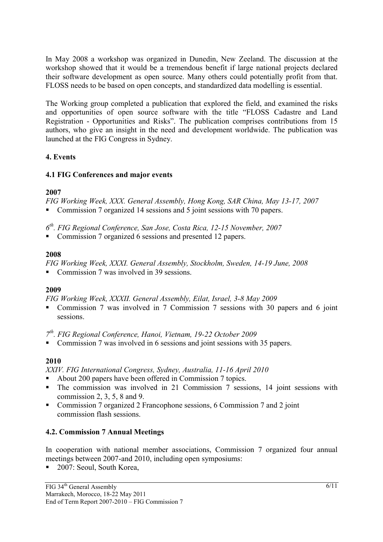In May 2008 a workshop was organized in Dunedin, New Zeeland. The discussion at the workshop showed that it would be a tremendous benefit if large national projects declared their software development as open source. Many others could potentially profit from that. FLOSS needs to be based on open concepts, and standardized data modelling is essential.

The Working group completed a publication that explored the field, and examined the risks and opportunities of open source software with the title "FLOSS Cadastre and Land Registration - Opportunities and Risks". The publication comprises contributions from 15 authors, who give an insight in the need and development worldwide. The publication was launched at the FIG Congress in Sydney.

#### **4. Events**

#### **4.1 FIG Conferences and major events**

#### **2007**

*FIG Working Week, XXX. General Assembly, Hong Kong, SAR China, May 13-17, 2007* 

■ Commission 7 organized 14 sessions and 5 joint sessions with 70 papers.

*6th. FIG Regional Conference, San Jose, Costa Rica, 12-15 November, 2007* 

Commission 7 organized 6 sessions and presented 12 papers.

#### **2008**

*FIG Working Week, XXXI. General Assembly, Stockholm, Sweden, 14-19 June, 2008* 

Commission 7 was involved in 39 sessions.

## **2009**

*FIG Working Week, XXXII. General Assembly, Eilat, Israel, 3-8 May 2009* 

 Commission 7 was involved in 7 Commission 7 sessions with 30 papers and 6 joint sessions.

*7th. FIG Regional Conference, Hanoi, Vietnam, 19-22 October 2009* 

• Commission 7 was involved in 6 sessions and joint sessions with 35 papers.

## **2010**

*XXIV. FIG International Congress, Sydney, Australia, 11-16 April 2010* 

- About 200 papers have been offered in Commission 7 topics.
- The commission was involved in 21 Commission 7 sessions, 14 joint sessions with commission 2, 3, 5, 8 and 9.
- Commission 7 organized 2 Francophone sessions, 6 Commission 7 and 2 joint commission flash sessions.

## **4.2. Commission 7 Annual Meetings**

In cooperation with national member associations, Commission 7 organized four annual meetings between 2007-and 2010, including open symposiums:

■ 2007: Seoul, South Korea,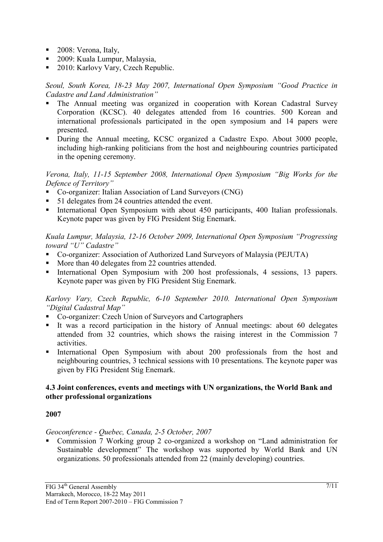- 2008: Verona, Italy,
- 2009: Kuala Lumpur, Malaysia,
- 2010: Karlovy Vary, Czech Republic.

*Seoul, South Korea, 18-23 May 2007, International Open Symposium "Good Practice in Cadastre and Land Administration"* 

- The Annual meeting was organized in cooperation with Korean Cadastral Survey Corporation (KCSC). 40 delegates attended from 16 countries. 500 Korean and international professionals participated in the open symposium and 14 papers were presented.
- During the Annual meeting, KCSC organized a Cadastre Expo. About 3000 people, including high-ranking politicians from the host and neighbouring countries participated in the opening ceremony.

*Verona, Italy, 11-15 September 2008, International Open Symposium "Big Works for the Defence of Territory"* 

- Co-organizer: Italian Association of Land Surveyors (CNG)
- 51 delegates from 24 countries attended the event.
- International Open Symposium with about 450 participants, 400 Italian professionals. Keynote paper was given by FIG President Stig Enemark.

*Kuala Lumpur, Malaysia, 12-16 October 2009, International Open Symposium "Progressing toward "U" Cadastre"* 

- Co-organizer: Association of Authorized Land Surveyors of Malaysia (PEJUTA)
- More than 40 delegates from 22 countries attended.
- International Open Symposium with 200 host professionals, 4 sessions, 13 papers. Keynote paper was given by FIG President Stig Enemark.

*Karlovy Vary, Czech Republic, 6-10 September 2010. International Open Symposium "Digital Cadastral Map"* 

- Co-organizer: Czech Union of Surveyors and Cartographers
- It was a record participation in the history of Annual meetings: about 60 delegates attended from 32 countries, which shows the raising interest in the Commission 7 activities.
- International Open Symposium with about 200 professionals from the host and neighbouring countries, 3 technical sessions with 10 presentations. The keynote paper was given by FIG President Stig Enemark.

#### **4.3 Joint conferences, events and meetings with UN organizations, the World Bank and other professional organizations**

## **2007**

#### *Geoconference - Quebec, Canada, 2-5 October, 2007*

 Commission 7 Working group 2 co-organized a workshop on "Land administration for Sustainable development" The workshop was supported by World Bank and UN organizations. 50 professionals attended from 22 (mainly developing) countries.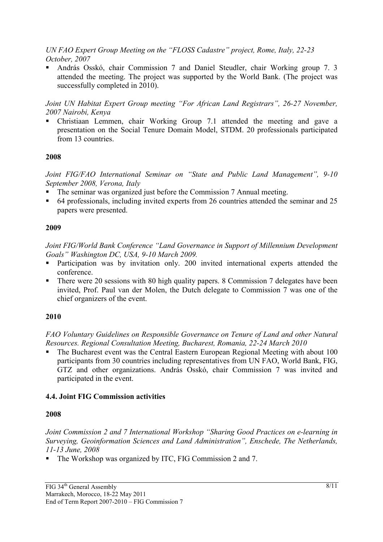*UN FAO Expert Group Meeting on the "FLOSS Cadastre" project, Rome, Italy, 22-23 October, 2007* 

 András Osskó, chair Commission 7 and Daniel Steudler, chair Working group 7. 3 attended the meeting. The project was supported by the World Bank. (The project was successfully completed in 2010).

*Joint UN Habitat Expert Group meeting "For African Land Registrars", 26-27 November, 2007 Nairobi, Kenya* 

 Christiaan Lemmen, chair Working Group 7.1 attended the meeting and gave a presentation on the Social Tenure Domain Model, STDM. 20 professionals participated from 13 countries.

## **2008**

*Joint FIG/FAO International Seminar on "State and Public Land Management", 9-10 September 2008, Verona, Italy* 

- The seminar was organized just before the Commission 7 Annual meeting.
- 64 professionals, including invited experts from 26 countries attended the seminar and 25 papers were presented.

## **2009**

*Joint FIG/World Bank Conference "Land Governance in Support of Millennium Development Goals" Washington DC, USA, 9-10 March 2009.* 

- Participation was by invitation only. 200 invited international experts attended the conference.
- There were 20 sessions with 80 high quality papers. 8 Commission 7 delegates have been invited, Prof. Paul van der Molen, the Dutch delegate to Commission 7 was one of the chief organizers of the event.

# **2010**

*FAO Voluntary Guidelines on Responsible Governance on Tenure of Land and other Natural Resources. Regional Consultation Meeting, Bucharest, Romania, 22-24 March 2010* 

 The Bucharest event was the Central Eastern European Regional Meeting with about 100 participants from 30 countries including representatives from UN FAO, World Bank, FIG, GTZ and other organizations. András Osskó, chair Commission 7 was invited and participated in the event.

# **4.4. Joint FIG Commission activities**

## **2008**

*Joint Commission 2 and 7 International Workshop "Sharing Good Practices on e-learning in Surveying, Geoinformation Sciences and Land Administration", Enschede, The Netherlands, 11-13 June, 2008* 

The Workshop was organized by ITC, FIG Commission 2 and 7.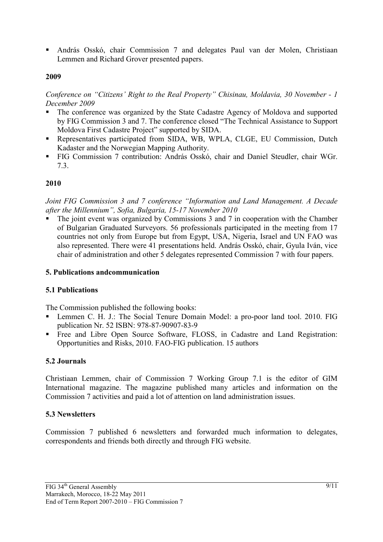András Osskó, chair Commission 7 and delegates Paul van der Molen, Christiaan Lemmen and Richard Grover presented papers.

## **2009**

*Conference on "Citizens' Right to the Real Property" Chisinau, Moldavia, 30 November - 1 December 2009* 

- The conference was organized by the State Cadastre Agency of Moldova and supported by FIG Commission 3 and 7. The conference closed "The Technical Assistance to Support Moldova First Cadastre Project" supported by SIDA.
- Representatives participated from SIDA, WB, WPLA, CLGE, EU Commission, Dutch Kadaster and the Norwegian Mapping Authority.
- FIG Commission 7 contribution: András Osskó, chair and Daniel Steudler, chair WGr. 7.3.

## **2010**

*Joint FIG Commission 3 and 7 conference "Information and Land Management. A Decade after the Millennium", Sofia, Bulgaria, 15-17 November 2010* 

 The joint event was organized by Commissions 3 and 7 in cooperation with the Chamber of Bulgarian Graduated Surveyors. 56 professionals participated in the meeting from 17 countries not only from Europe but from Egypt, USA, Nigeria, Israel and UN FAO was also represented. There were 41 presentations held. András Osskó, chair, Gyula Iván, vice chair of administration and other 5 delegates represented Commission 7 with four papers.

## **5. Publications andcommunication**

## **5.1 Publications**

The Commission published the following books:

- Lemmen C. H. J.: The Social Tenure Domain Model: a pro-poor land tool. 2010. FIG publication Nr. 52 ISBN: 978-87-90907-83-9
- Free and Libre Open Source Software, FLOSS, in Cadastre and Land Registration: Opportunities and Risks, 2010. FAO-FIG publication. 15 authors

## **5.2 Journals**

Christiaan Lemmen, chair of Commission 7 Working Group 7.1 is the editor of GIM International magazine. The magazine published many articles and information on the Commission 7 activities and paid a lot of attention on land administration issues.

## **5.3 Newsletters**

Commission 7 published 6 newsletters and forwarded much information to delegates, correspondents and friends both directly and through FIG website.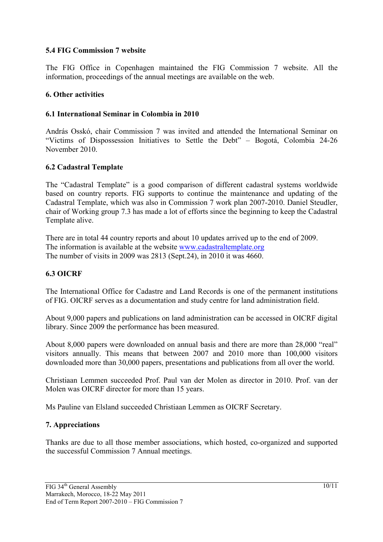#### **5.4 FIG Commission 7 website**

The FIG Office in Copenhagen maintained the FIG Commission 7 website. All the information, proceedings of the annual meetings are available on the web.

#### **6. Other activities**

#### **6.1 International Seminar in Colombia in 2010**

András Osskó, chair Commission 7 was invited and attended the International Seminar on "Victims of Dispossession Initiatives to Settle the Debt" – Bogotá, Colombia 24-26 November 2010.

#### **6.2 Cadastral Template**

The "Cadastral Template" is a good comparison of different cadastral systems worldwide based on country reports. FIG supports to continue the maintenance and updating of the Cadastral Template, which was also in Commission 7 work plan 2007-2010. Daniel Steudler, chair of Working group 7.3 has made a lot of efforts since the beginning to keep the Cadastral Template alive.

There are in total 44 country reports and about 10 updates arrived up to the end of 2009. The information is available at the website www.cadastraltemplate.org The number of visits in 2009 was 2813 (Sept.24), in 2010 it was 4660.

#### **6.3 OICRF**

The International Office for Cadastre and Land Records is one of the permanent institutions of FIG. OICRF serves as a documentation and study centre for land administration field.

About 9,000 papers and publications on land administration can be accessed in OICRF digital library. Since 2009 the performance has been measured.

About 8,000 papers were downloaded on annual basis and there are more than 28,000 "real" visitors annually. This means that between 2007 and 2010 more than 100,000 visitors downloaded more than 30,000 papers, presentations and publications from all over the world.

Christiaan Lemmen succeeded Prof. Paul van der Molen as director in 2010. Prof. van der Molen was OICRF director for more than 15 years.

Ms Pauline van Elsland succeeded Christiaan Lemmen as OICRF Secretary.

#### **7. Appreciations**

Thanks are due to all those member associations, which hosted, co-organized and supported the successful Commission 7 Annual meetings.